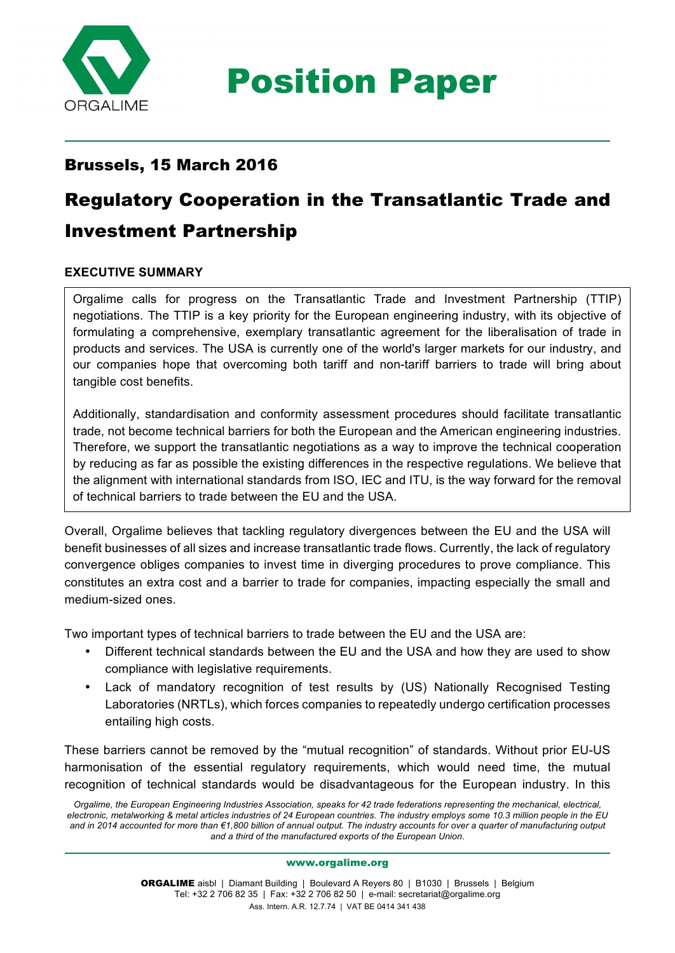

Position Paper

# Brussels, 15 March 2016

# Regulatory Cooperation in the Transatlantic Trade and Investment Partnership

# **EXECUTIVE SUMMARY**

Orgalime calls for progress on the Transatlantic Trade and Investment Partnership (TTIP) negotiations. The TTIP is a key priority for the European engineering industry, with its objective of formulating a comprehensive, exemplary transatlantic agreement for the liberalisation of trade in products and services. The USA is currently one of the world's larger markets for our industry, and our companies hope that overcoming both tariff and non-tariff barriers to trade will bring about tangible cost benefits.

of technical barriers to trade between the EU and the USA. Additionally, standardisation and conformity assessment procedures should facilitate transatlantic trade, not become technical barriers for both the European and the American engineering industries. Therefore, we support the transatlantic negotiations as a way to improve the technical cooperation by reducing as far as possible the existing differences in the respective regulations. We believe that the alignment with international standards from ISO, IEC and ITU, is the way forward for the removal

Overall, Orgalime believes that tackling regulatory divergences between the EU and the USA will benefit businesses of all sizes and increase transatlantic trade flows. Currently, the lack of regulatory convergence obliges companies to invest time in diverging procedures to prove compliance. This constitutes an extra cost and a barrier to trade for companies, impacting especially the small and medium-sized ones.

Two important types of technical barriers to trade between the EU and the USA are:

- Different technical standards between the EU and the USA and how they are used to show compliance with legislative requirements.
- Lack of mandatory recognition of test results by (US) Nationally Recognised Testing Laboratories (NRTLs), which forces companies to repeatedly undergo certification processes entailing high costs.

These barriers cannot be removed by the "mutual recognition" of standards. Without prior EU-US harmonisation of the essential regulatory requirements, which would need time, the mutual recognition of technical standards would be disadvantageous for the European industry. In this

*Orgalime, the European Engineering Industries Association, speaks for 42 trade federations representing the mechanical, electrical, electronic, metalworking & metal articles industries of 24 European countries. The industry employs some 10.3 million people in the EU and in 2014 accounted for more than €1,800 billion of annual output. The industry accounts for over a quarter of manufacturing output and a third of the manufactured exports of the European Union.*

www.orgalime.org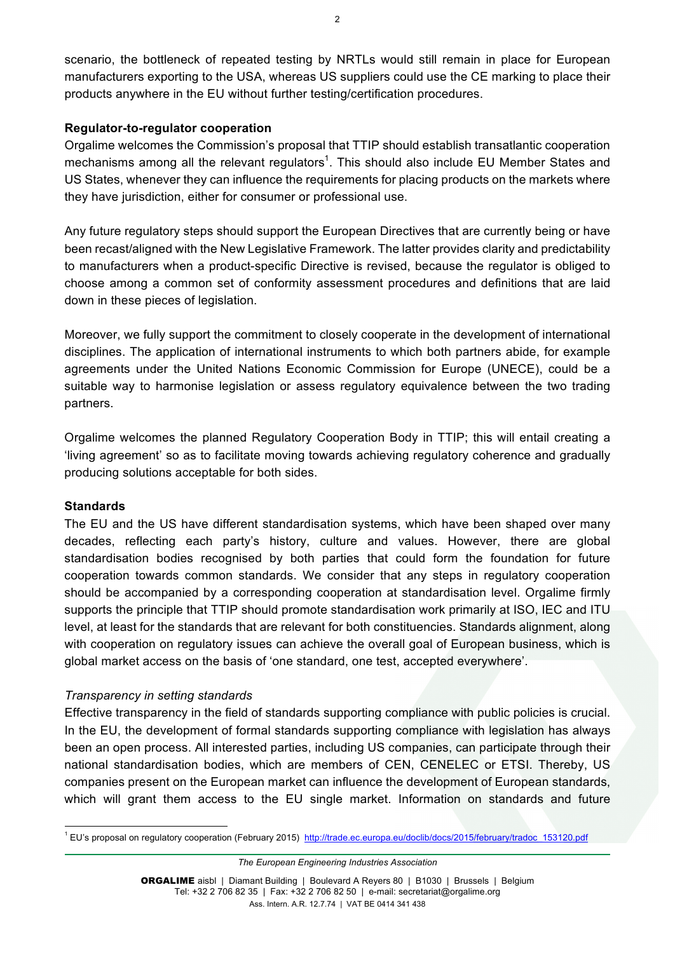scenario, the bottleneck of repeated testing by NRTLs would still remain in place for European manufacturers exporting to the USA, whereas US suppliers could use the CE marking to place their products anywhere in the EU without further testing/certification procedures.

#### **Regulator-to-regulator cooperation**

Orgalime welcomes the Commission's proposal that TTIP should establish transatlantic cooperation mechanisms among all the relevant regulators<sup>1</sup>. This should also include EU Member States and US States, whenever they can influence the requirements for placing products on the markets where they have jurisdiction, either for consumer or professional use.

Any future regulatory steps should support the European Directives that are currently being or have been recast/aligned with the New Legislative Framework. The latter provides clarity and predictability to manufacturers when a product-specific Directive is revised, because the regulator is obliged to choose among a common set of conformity assessment procedures and definitions that are laid down in these pieces of legislation.

Moreover, we fully support the commitment to closely cooperate in the development of international disciplines. The application of international instruments to which both partners abide, for example agreements under the United Nations Economic Commission for Europe (UNECE), could be a suitable way to harmonise legislation or assess regulatory equivalence between the two trading partners.

Orgalime welcomes the planned Regulatory Cooperation Body in TTIP; this will entail creating a 'living agreement' so as to facilitate moving towards achieving regulatory coherence and gradually producing solutions acceptable for both sides.

#### **Standards**

The EU and the US have different standardisation systems, which have been shaped over many decades, reflecting each party's history, culture and values. However, there are global standardisation bodies recognised by both parties that could form the foundation for future cooperation towards common standards. We consider that any steps in regulatory cooperation should be accompanied by a corresponding cooperation at standardisation level. Orgalime firmly supports the principle that TTIP should promote standardisation work primarily at ISO, IEC and ITU level, at least for the standards that are relevant for both constituencies. Standards alignment, along with cooperation on regulatory issues can achieve the overall goal of European business, which is global market access on the basis of 'one standard, one test, accepted everywhere'.

#### *Transparency in setting standards*

Effective transparency in the field of standards supporting compliance with public policies is crucial. In the EU, the development of formal standards supporting compliance with legislation has always been an open process. All interested parties, including US companies, can participate through their national standardisation bodies, which are members of CEN, CENELEC or ETSI. Thereby, US companies present on the European market can influence the development of European standards, which will grant them access to the EU single market. Information on standards and future

*The European Engineering Industries Association* 

<sup>&</sup>lt;sup>1</sup> EU's proposal on regulatory cooperation (February 2015) http://trade.ec.europa.eu/doclib/docs/2015/february/tradoc\_153120.pdf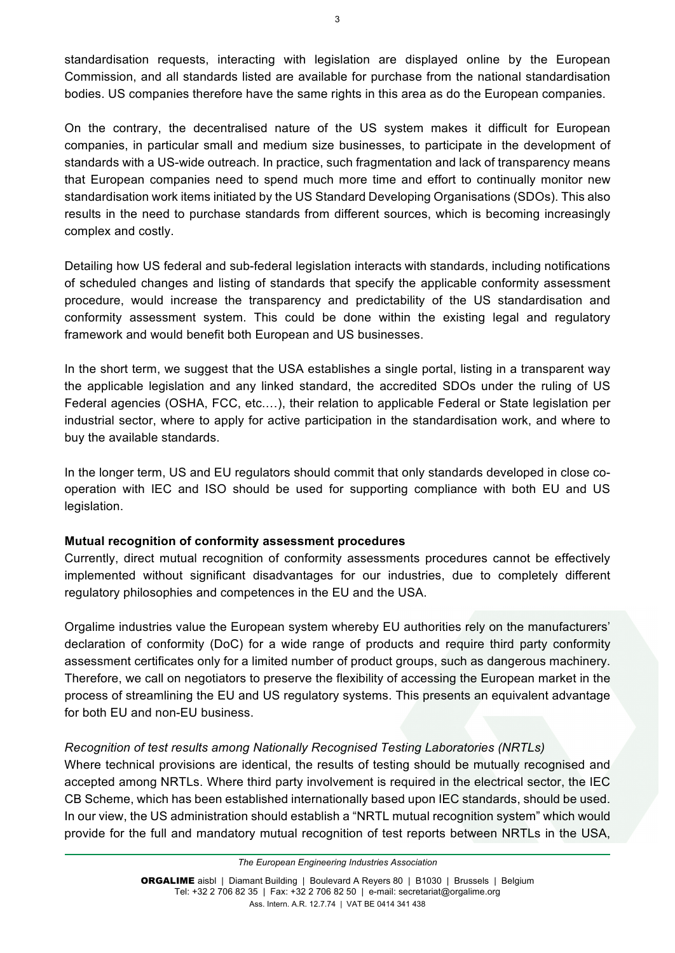standardisation requests, interacting with legislation are displayed online by the European Commission, and all standards listed are available for purchase from the national standardisation bodies. US companies therefore have the same rights in this area as do the European companies.

On the contrary, the decentralised nature of the US system makes it difficult for European companies, in particular small and medium size businesses, to participate in the development of standards with a US-wide outreach. In practice, such fragmentation and lack of transparency means that European companies need to spend much more time and effort to continually monitor new standardisation work items initiated by the US Standard Developing Organisations (SDOs). This also results in the need to purchase standards from different sources, which is becoming increasingly complex and costly.

Detailing how US federal and sub-federal legislation interacts with standards, including notifications of scheduled changes and listing of standards that specify the applicable conformity assessment procedure, would increase the transparency and predictability of the US standardisation and conformity assessment system. This could be done within the existing legal and regulatory framework and would benefit both European and US businesses.

In the short term, we suggest that the USA establishes a single portal, listing in a transparent way the applicable legislation and any linked standard, the accredited SDOs under the ruling of US Federal agencies (OSHA, FCC, etc.…), their relation to applicable Federal or State legislation per industrial sector, where to apply for active participation in the standardisation work, and where to buy the available standards.

In the longer term, US and EU regulators should commit that only standards developed in close cooperation with IEC and ISO should be used for supporting compliance with both EU and US legislation.

# **Mutual recognition of conformity assessment procedures**

Currently, direct mutual recognition of conformity assessments procedures cannot be effectively implemented without significant disadvantages for our industries, due to completely different regulatory philosophies and competences in the EU and the USA.

Orgalime industries value the European system whereby EU authorities rely on the manufacturers' declaration of conformity (DoC) for a wide range of products and require third party conformity assessment certificates only for a limited number of product groups, such as dangerous machinery. Therefore, we call on negotiators to preserve the flexibility of accessing the European market in the process of streamlining the EU and US regulatory systems. This presents an equivalent advantage for both EU and non-EU business.

# *Recognition of test results among Nationally Recognised Testing Laboratories (NRTLs)*

Where technical provisions are identical, the results of testing should be mutually recognised and accepted among NRTLs. Where third party involvement is required in the electrical sector, the IEC CB Scheme, which has been established internationally based upon IEC standards, should be used. In our view, the US administration should establish a "NRTL mutual recognition system" which would provide for the full and mandatory mutual recognition of test reports between NRTLs in the USA,